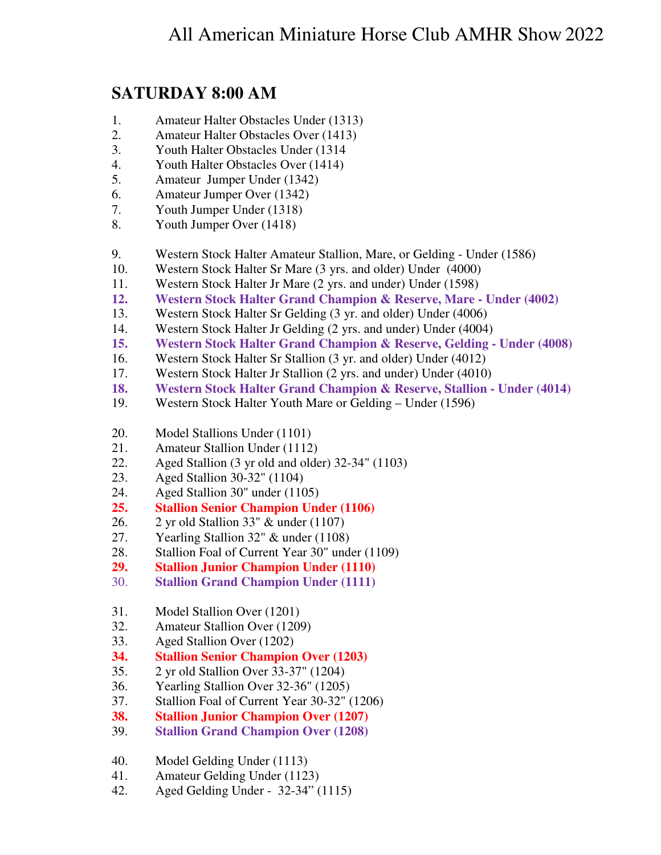## **SATURDAY 8:00 AM**

- 1. Amateur Halter Obstacles Under (1313)
- 2. Amateur Halter Obstacles Over (1413)
- 3. Youth Halter Obstacles Under (1314
- 4. Youth Halter Obstacles Over (1414)
- 5. Amateur Jumper Under (1342)
- 6. Amateur Jumper Over (1342)
- 7. Youth Jumper Under (1318)
- 8. Youth Jumper Over (1418)
- 9. Western Stock Halter Amateur Stallion, Mare, or Gelding Under (1586)
- 10. Western Stock Halter Sr Mare (3 yrs. and older) Under (4000)
- 11. Western Stock Halter Jr Mare (2 yrs. and under) Under (1598)
- **12. Western Stock Halter Grand Champion & Reserve, Mare Under (4002)**
- 13. Western Stock Halter Sr Gelding (3 yr. and older) Under (4006)
- 14. Western Stock Halter Jr Gelding (2 yrs. and under) Under (4004)
- **15. Western Stock Halter Grand Champion & Reserve, Gelding Under (4008)**
- 16. Western Stock Halter Sr Stallion (3 yr. and older) Under (4012)
- 17. Western Stock Halter Jr Stallion (2 yrs. and under) Under (4010)
- **18. Western Stock Halter Grand Champion & Reserve, Stallion Under (4014)**
- 19. Western Stock Halter Youth Mare or Gelding Under (1596)
- 20. Model Stallions Under (1101)
- 21. Amateur Stallion Under (1112)
- 22. Aged Stallion (3 yr old and older) 32-34" (1103)
- 23. Aged Stallion 30-32" (1104)
- 24. Aged Stallion 30" under (1105)
- **25. Stallion Senior Champion Under (1106)**
- 26. 2 yr old Stallion 33" & under (1107)
- 27. Yearling Stallion 32" & under (1108)
- 28. Stallion Foal of Current Year 30" under (1109)
- **29. Stallion Junior Champion Under (1110)**
- 30. **Stallion Grand Champion Under (1111)**
- 31. Model Stallion Over (1201)
- 32. Amateur Stallion Over (1209)
- 33. Aged Stallion Over (1202)
- **34. Stallion Senior Champion Over (1203)**
- 35. 2 yr old Stallion Over 33-37" (1204)
- 36. Yearling Stallion Over 32-36" (1205)
- 37. Stallion Foal of Current Year 30-32" (1206)
- **38. Stallion Junior Champion Over (1207)**
- 39. **Stallion Grand Champion Over (1208)**
- 40. Model Gelding Under (1113)
- 41. Amateur Gelding Under (1123)
- 42. Aged Gelding Under 32-34" (1115)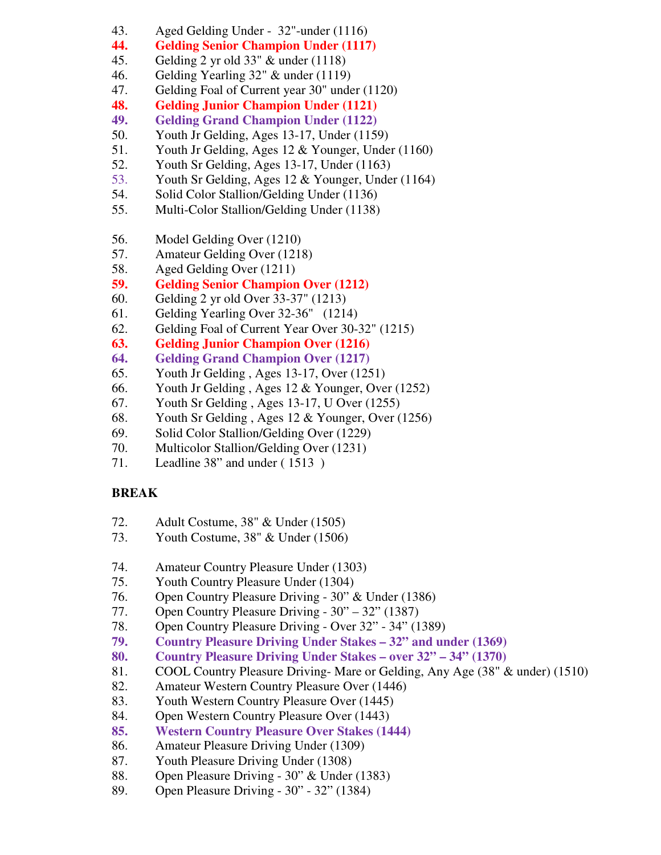- 43. Aged Gelding Under 32"-under (1116)
- **44. Gelding Senior Champion Under (1117)**
- 45. Gelding 2 yr old 33" & under (1118)
- 46. Gelding Yearling 32" & under (1119)
- 47. Gelding Foal of Current year 30" under (1120)
- **48. Gelding Junior Champion Under (1121)**
- **49. Gelding Grand Champion Under (1122)**
- 50. Youth Jr Gelding, Ages 13-17, Under (1159)
- 51. Youth Jr Gelding, Ages 12 & Younger, Under (1160)
- 52. Youth Sr Gelding, Ages 13-17, Under (1163)
- 53. Youth Sr Gelding, Ages 12 & Younger, Under (1164)
- 54. Solid Color Stallion/Gelding Under (1136)
- 55. Multi-Color Stallion/Gelding Under (1138)
- 56. Model Gelding Over (1210)
- 57. Amateur Gelding Over (1218)
- 58. Aged Gelding Over (1211)
- **59. Gelding Senior Champion Over (1212)**
- 60. Gelding 2 yr old Over 33-37" (1213)
- 61. Gelding Yearling Over 32-36" (1214)
- 62. Gelding Foal of Current Year Over 30-32" (1215)
- **63. Gelding Junior Champion Over (1216)**
- **64. Gelding Grand Champion Over (1217)**
- 65. Youth Jr Gelding , Ages 13-17, Over (1251)
- 66. Youth Jr Gelding , Ages 12 & Younger, Over (1252)
- 67. Youth Sr Gelding , Ages 13-17, U Over (1255)
- 68. Youth Sr Gelding , Ages 12 & Younger, Over (1256)
- 69. Solid Color Stallion/Gelding Over (1229)
- 70. Multicolor Stallion/Gelding Over (1231)
- 71. Leadline 38" and under ( 1513 )

## **BREAK**

- 72. Adult Costume, 38" & Under (1505)
- 73. Youth Costume, 38" & Under (1506)
- 74. Amateur Country Pleasure Under (1303)
- 75. Youth Country Pleasure Under (1304)
- 76. Open Country Pleasure Driving 30" & Under (1386)
- 77. Open Country Pleasure Driving 30" 32" (1387)
- 78. Open Country Pleasure Driving Over 32" 34" (1389)
- **79. Country Pleasure Driving Under Stakes 32" and under (1369)**
- **80. Country Pleasure Driving Under Stakes over 32" 34" (1370)**
- 81. COOL Country Pleasure Driving- Mare or Gelding, Any Age (38" & under) (1510)
- 82. Amateur Western Country Pleasure Over (1446)
- 83. Youth Western Country Pleasure Over (1445)
- 84. Open Western Country Pleasure Over (1443)
- **85. Western Country Pleasure Over Stakes (1444)**
- 86. Amateur Pleasure Driving Under (1309)
- 87. Youth Pleasure Driving Under (1308)
- 88. Open Pleasure Driving 30" & Under (1383)
- 89. Open Pleasure Driving 30" 32" (1384)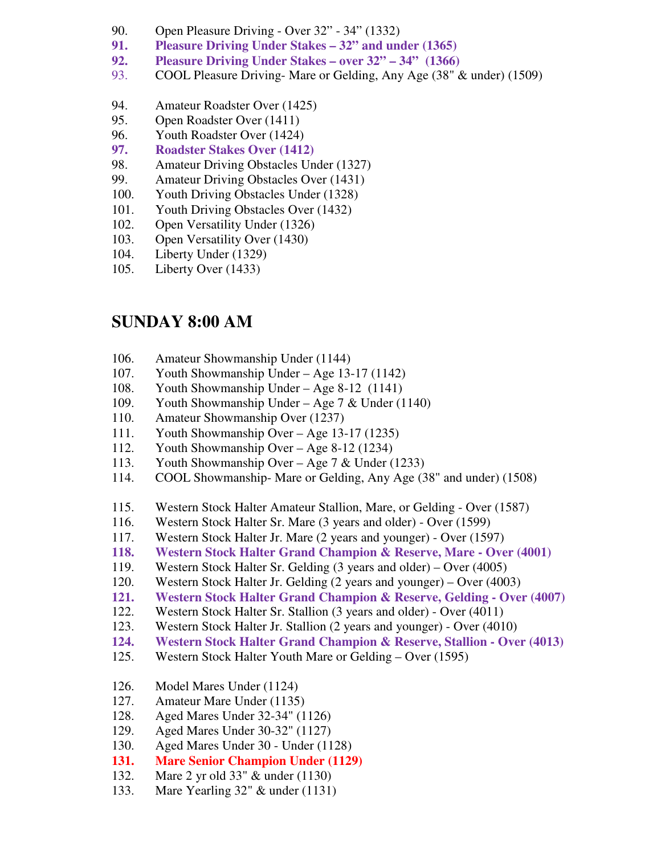- 90. Open Pleasure Driving Over 32" 34" (1332)
- **91. Pleasure Driving Under Stakes 32" and under (1365)**
- **92. Pleasure Driving Under Stakes over 32" 34" (1366)**
- 93. COOL Pleasure Driving- Mare or Gelding, Any Age (38" & under) (1509)
- 94. Amateur Roadster Over (1425)
- 95. Open Roadster Over (1411)
- 96. Youth Roadster Over (1424)
- **97. Roadster Stakes Over (1412)**
- 98. Amateur Driving Obstacles Under (1327)
- 99. Amateur Driving Obstacles Over (1431)
- 100. Youth Driving Obstacles Under (1328)
- 101. Youth Driving Obstacles Over (1432)
- 102. Open Versatility Under (1326)
- 103. Open Versatility Over (1430)
- 104. Liberty Under (1329)
- 105. Liberty Over (1433)

## **SUNDAY 8:00 AM**

- 106. Amateur Showmanship Under (1144)
- 107. Youth Showmanship Under Age 13-17 (1142)
- 108. Youth Showmanship Under Age 8-12 (1141)
- 109. Youth Showmanship Under Age 7 & Under (1140)
- 110. Amateur Showmanship Over (1237)
- 111. Youth Showmanship Over Age 13-17 (1235)
- 112. Youth Showmanship Over Age 8-12 (1234)
- 113. Youth Showmanship Over Age 7 & Under (1233)
- 114. COOL Showmanship- Mare or Gelding, Any Age (38" and under) (1508)
- 115. Western Stock Halter Amateur Stallion, Mare, or Gelding Over (1587)
- 116. Western Stock Halter Sr. Mare (3 years and older) Over (1599)
- 117. Western Stock Halter Jr. Mare (2 years and younger) Over (1597)
- **118. Western Stock Halter Grand Champion & Reserve, Mare Over (4001)**
- 119. Western Stock Halter Sr. Gelding (3 years and older) Over (4005)
- 120. Western Stock Halter Jr. Gelding (2 years and younger) Over (4003)
- **121. Western Stock Halter Grand Champion & Reserve, Gelding Over (4007)**
- 122. Western Stock Halter Sr. Stallion (3 years and older) Over (4011)
- 123. Western Stock Halter Jr. Stallion (2 years and younger) Over (4010)
- **124. Western Stock Halter Grand Champion & Reserve, Stallion Over (4013)**
- 125. Western Stock Halter Youth Mare or Gelding Over (1595)
- 126. Model Mares Under (1124)
- 127. Amateur Mare Under (1135)
- 128. Aged Mares Under 32-34" (1126)
- 129. Aged Mares Under 30-32" (1127)
- 130. Aged Mares Under 30 Under (1128)
- **131. Mare Senior Champion Under (1129)**
- 132. Mare 2 yr old 33" & under (1130)
- 133. Mare Yearling 32" & under (1131)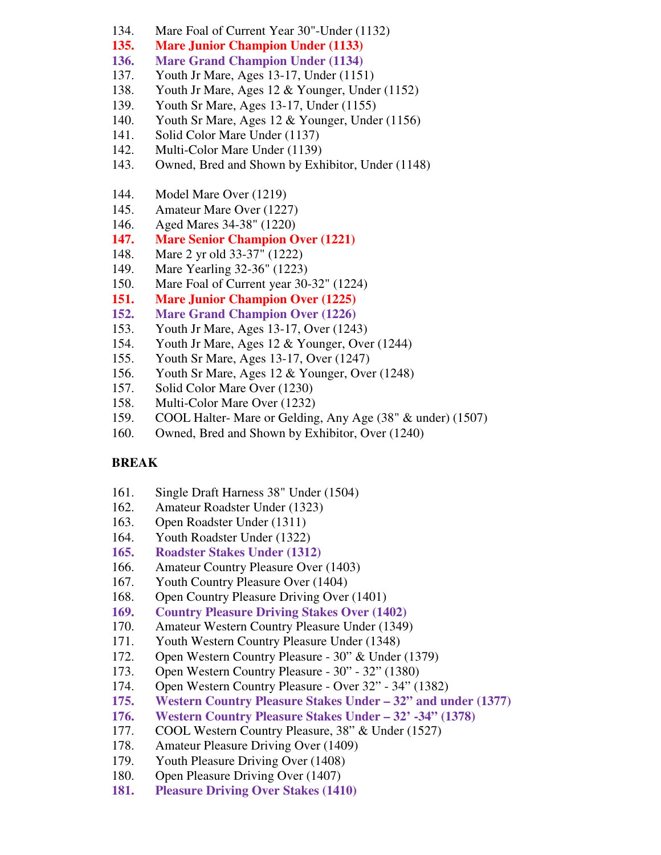- 134. Mare Foal of Current Year 30"-Under (1132)
- **135. Mare Junior Champion Under (1133)**
- **136. Mare Grand Champion Under (1134)**
- 137. Youth Jr Mare, Ages 13-17, Under (1151)
- 138. Youth Jr Mare, Ages 12 & Younger, Under (1152)
- 139. Youth Sr Mare, Ages 13-17, Under (1155)
- 140. Youth Sr Mare, Ages 12 & Younger, Under (1156)
- 141. Solid Color Mare Under (1137)
- 142. Multi-Color Mare Under (1139)
- 143. Owned, Bred and Shown by Exhibitor, Under (1148)
- 144. Model Mare Over (1219)
- 145. Amateur Mare Over (1227)
- 146. Aged Mares 34-38" (1220)
- **147. Mare Senior Champion Over (1221)**
- 148. Mare 2 yr old 33-37" (1222)
- 149. Mare Yearling 32-36" (1223)
- 150. Mare Foal of Current year 30-32" (1224)
- **151. Mare Junior Champion Over (1225)**
- **152. Mare Grand Champion Over (1226)**
- 153. Youth Jr Mare, Ages 13-17, Over (1243)
- 154. Youth Jr Mare, Ages 12 & Younger, Over (1244)
- 155. Youth Sr Mare, Ages 13-17, Over (1247)
- 156. Youth Sr Mare, Ages 12 & Younger, Over (1248)
- 157. Solid Color Mare Over (1230)
- 158. Multi-Color Mare Over (1232)
- 159. COOL Halter- Mare or Gelding, Any Age (38" & under) (1507)
- 160. Owned, Bred and Shown by Exhibitor, Over (1240)

## **BREAK**

- 161. Single Draft Harness 38" Under (1504)
- 162. Amateur Roadster Under (1323)
- 163. Open Roadster Under (1311)
- 164. Youth Roadster Under (1322)
- **165. Roadster Stakes Under (1312)**
- 166. Amateur Country Pleasure Over (1403)
- 167. Youth Country Pleasure Over (1404)
- 168. Open Country Pleasure Driving Over (1401)
- **169. Country Pleasure Driving Stakes Over (1402)**
- 170. Amateur Western Country Pleasure Under (1349)
- 171. Youth Western Country Pleasure Under (1348)
- 172. Open Western Country Pleasure 30" & Under (1379)
- 173. Open Western Country Pleasure 30" 32" (1380)
- 174. Open Western Country Pleasure Over 32" 34" (1382)
- **175. Western Country Pleasure Stakes Under 32" and under (1377)**
- **176. Western Country Pleasure Stakes Under 32' -34" (1378)**
- 177. COOL Western Country Pleasure, 38" & Under (1527)
- 178. Amateur Pleasure Driving Over (1409)
- 179. Youth Pleasure Driving Over (1408)
- 180. Open Pleasure Driving Over (1407)
- **181. Pleasure Driving Over Stakes (1410)**